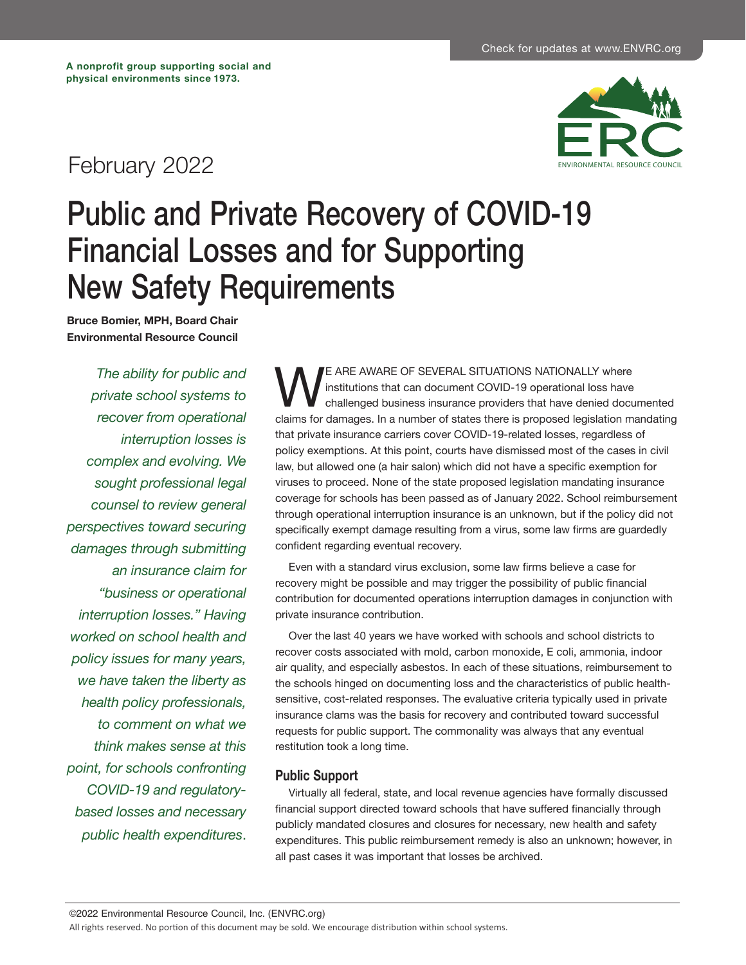## February 2022



## Public and Private Recovery of COVID-19 Financial Losses and for Supporting New Safety Requirements

**Bruce Bomier, MPH, Board Chair Environmental Resource Council**

*The ability for public and private school systems to recover from operational interruption losses is complex and evolving. We sought professional legal counsel to review general perspectives toward securing damages through submitting an insurance claim for "business or operational interruption losses." Having worked on school health and policy issues for many years, we have taken the liberty as health policy professionals, to comment on what we think makes sense at this point, for schools confronting COVID-19 and regulatorybased losses and necessary public health expenditures*.

WE ARE AWARE OF SEVERAL SITUATIONS NATIONALLY where<br>
challenged business insurance providers that have denied docu<br>
claims for damages. In a number of states there is proposed legislation m institutions that can document COVID-19 operational loss have challenged business insurance providers that have denied documented claims for damages. In a number of states there is proposed legislation mandating that private insurance carriers cover COVID-19-related losses, regardless of policy exemptions. At this point, courts have dismissed most of the cases in civil law, but allowed one (a hair salon) which did not have a specific exemption for viruses to proceed. None of the state proposed legislation mandating insurance coverage for schools has been passed as of January 2022. School reimbursement through operational interruption insurance is an unknown, but if the policy did not specifically exempt damage resulting from a virus, some law firms are guardedly confident regarding eventual recovery.

Even with a standard virus exclusion, some law firms believe a case for recovery might be possible and may trigger the possibility of public financial contribution for documented operations interruption damages in conjunction with private insurance contribution.

Over the last 40 years we have worked with schools and school districts to recover costs associated with mold, carbon monoxide, E coli, ammonia, indoor air quality, and especially asbestos. In each of these situations, reimbursement to the schools hinged on documenting loss and the characteristics of public healthsensitive, cost-related responses. The evaluative criteria typically used in private insurance clams was the basis for recovery and contributed toward successful requests for public support. The commonality was always that any eventual restitution took a long time.

## **Public Support**

Virtually all federal, state, and local revenue agencies have formally discussed financial support directed toward schools that have suffered financially through publicly mandated closures and closures for necessary, new health and safety expenditures. This public reimbursement remedy is also an unknown; however, in all past cases it was important that losses be archived.